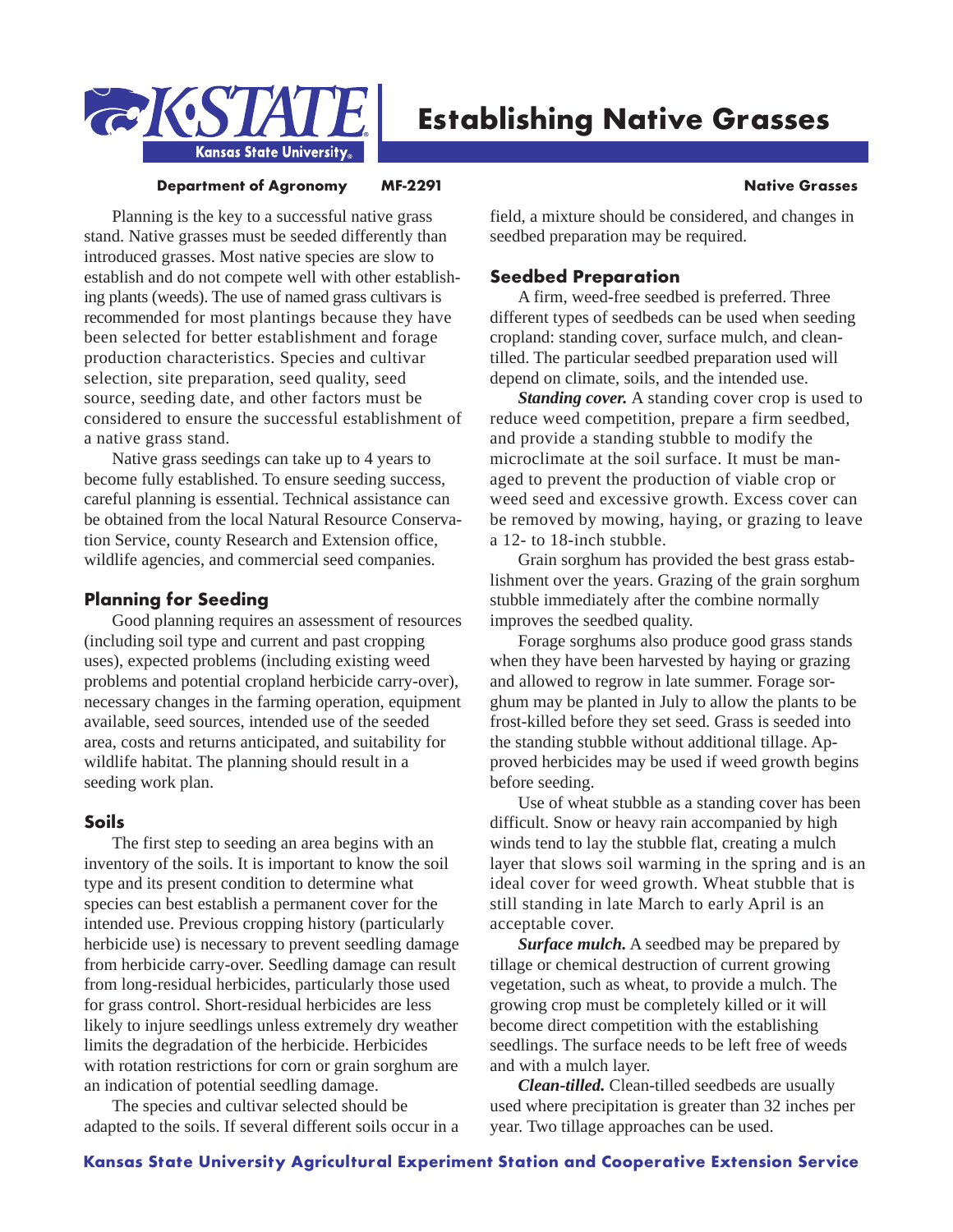

# **Establishing Native Grasses**

#### **Department of Agronomy MF-2291 Manufacture Construction Construction Channel Manufacture Construction Channel Manufacture Channel Manufacture Channel Manufacture Channel Manufacture Channel Manufacture Channel Manufacture**

Planning is the key to a successful native grass stand. Native grasses must be seeded differently than introduced grasses. Most native species are slow to establish and do not compete well with other establishing plants (weeds). The use of named grass cultivars is recommended for most plantings because they have been selected for better establishment and forage production characteristics. Species and cultivar selection, site preparation, seed quality, seed source, seeding date, and other factors must be considered to ensure the successful establishment of a native grass stand.

Native grass seedings can take up to 4 years to become fully established. To ensure seeding success, careful planning is essential. Technical assistance can be obtained from the local Natural Resource Conservation Service, county Research and Extension office, wildlife agencies, and commercial seed companies.

# **Planning for Seeding**

Good planning requires an assessment of resources (including soil type and current and past cropping uses), expected problems (including existing weed problems and potential cropland herbicide carry-over), necessary changes in the farming operation, equipment available, seed sources, intended use of the seeded area, costs and returns anticipated, and suitability for wildlife habitat. The planning should result in a seeding work plan.

# **Soils**

The first step to seeding an area begins with an inventory of the soils. It is important to know the soil type and its present condition to determine what species can best establish a permanent cover for the intended use. Previous cropping history (particularly herbicide use) is necessary to prevent seedling damage from herbicide carry-over. Seedling damage can result from long-residual herbicides, particularly those used for grass control. Short-residual herbicides are less likely to injure seedlings unless extremely dry weather limits the degradation of the herbicide. Herbicides with rotation restrictions for corn or grain sorghum are an indication of potential seedling damage.

The species and cultivar selected should be adapted to the soils. If several different soils occur in a field, a mixture should be considered, and changes in seedbed preparation may be required.

# **Seedbed Preparation**

A firm, weed-free seedbed is preferred. Three different types of seedbeds can be used when seeding cropland: standing cover, surface mulch, and cleantilled. The particular seedbed preparation used will depend on climate, soils, and the intended use.

*Standing cover.* A standing cover crop is used to reduce weed competition, prepare a firm seedbed, and provide a standing stubble to modify the microclimate at the soil surface. It must be managed to prevent the production of viable crop or weed seed and excessive growth. Excess cover can be removed by mowing, haying, or grazing to leave a 12- to 18-inch stubble.

Grain sorghum has provided the best grass establishment over the years. Grazing of the grain sorghum stubble immediately after the combine normally improves the seedbed quality.

Forage sorghums also produce good grass stands when they have been harvested by haying or grazing and allowed to regrow in late summer. Forage sorghum may be planted in July to allow the plants to be frost-killed before they set seed. Grass is seeded into the standing stubble without additional tillage. Approved herbicides may be used if weed growth begins before seeding.

Use of wheat stubble as a standing cover has been difficult. Snow or heavy rain accompanied by high winds tend to lay the stubble flat, creating a mulch layer that slows soil warming in the spring and is an ideal cover for weed growth. Wheat stubble that is still standing in late March to early April is an acceptable cover.

*Surface mulch.* A seedbed may be prepared by tillage or chemical destruction of current growing vegetation, such as wheat, to provide a mulch. The growing crop must be completely killed or it will become direct competition with the establishing seedlings. The surface needs to be left free of weeds and with a mulch layer.

*Clean-tilled.* Clean-tilled seedbeds are usually used where precipitation is greater than 32 inches per year. Two tillage approaches can be used.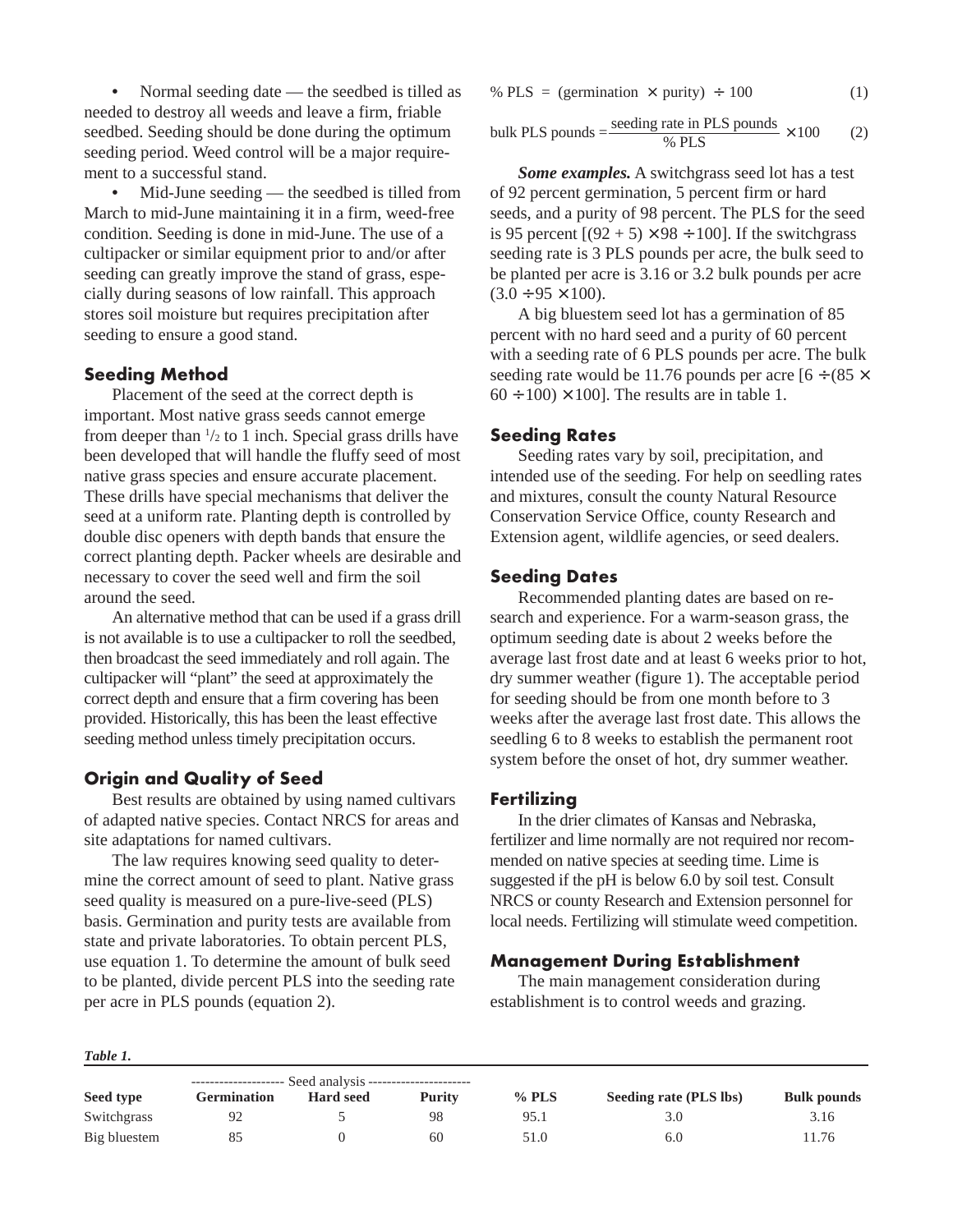**•** Normal seeding date — the seedbed is tilled as needed to destroy all weeds and leave a firm, friable seedbed. Seeding should be done during the optimum seeding period. Weed control will be a major requirement to a successful stand.

**•** Mid-June seeding — the seedbed is tilled from March to mid-June maintaining it in a firm, weed-free condition. Seeding is done in mid-June. The use of a cultipacker or similar equipment prior to and/or after seeding can greatly improve the stand of grass, especially during seasons of low rainfall. This approach stores soil moisture but requires precipitation after seeding to ensure a good stand.

#### **Seeding Method**

Placement of the seed at the correct depth is important. Most native grass seeds cannot emerge from deeper than  $\frac{1}{2}$  to 1 inch. Special grass drills have been developed that will handle the fluffy seed of most native grass species and ensure accurate placement. These drills have special mechanisms that deliver the seed at a uniform rate. Planting depth is controlled by double disc openers with depth bands that ensure the correct planting depth. Packer wheels are desirable and necessary to cover the seed well and firm the soil around the seed.

An alternative method that can be used if a grass drill is not available is to use a cultipacker to roll the seedbed, then broadcast the seed immediately and roll again. The cultipacker will "plant" the seed at approximately the correct depth and ensure that a firm covering has been provided. Historically, this has been the least effective seeding method unless timely precipitation occurs.

# **Origin and Quality of Seed**

Best results are obtained by using named cultivars of adapted native species. Contact NRCS for areas and site adaptations for named cultivars.

The law requires knowing seed quality to determine the correct amount of seed to plant. Native grass seed quality is measured on a pure-live-seed (PLS) basis. Germination and purity tests are available from state and private laboratories. To obtain percent PLS, use equation 1. To determine the amount of bulk seed to be planted, divide percent PLS into the seeding rate per acre in PLS pounds (equation 2).

$$
\% \, \text{PLS} = \text{(germination} \times \text{purity}) \div 100 \tag{1}
$$

bulk PLS pounds = 
$$
\frac{\text{seeding rate in PLS pounds}}{\% PLS} \times 100
$$
 (2)

*Some examples.* A switchgrass seed lot has a test of 92 percent germination, 5 percent firm or hard seeds, and a purity of 98 percent. The PLS for the seed is 95 percent  $[(92 + 5) \times 98 \div 100]$ . If the switchgrass seeding rate is 3 PLS pounds per acre, the bulk seed to be planted per acre is 3.16 or 3.2 bulk pounds per acre  $(3.0 \div 95 \times 100)$ .

A big bluestem seed lot has a germination of 85 percent with no hard seed and a purity of 60 percent with a seeding rate of 6 PLS pounds per acre. The bulk seeding rate would be 11.76 pounds per acre  $[6 \div (85 \times$  $60 \div 100 \times 100$ . The results are in table 1.

#### **Seeding Rates**

Seeding rates vary by soil, precipitation, and intended use of the seeding. For help on seedling rates and mixtures, consult the county Natural Resource Conservation Service Office, county Research and Extension agent, wildlife agencies, or seed dealers.

# **Seeding Dates**

Recommended planting dates are based on research and experience. For a warm-season grass, the optimum seeding date is about 2 weeks before the average last frost date and at least 6 weeks prior to hot, dry summer weather (figure 1). The acceptable period for seeding should be from one month before to 3 weeks after the average last frost date. This allows the seedling 6 to 8 weeks to establish the permanent root system before the onset of hot, dry summer weather.

#### **Fertilizing**

In the drier climates of Kansas and Nebraska, fertilizer and lime normally are not required nor recommended on native species at seeding time. Lime is suggested if the pH is below 6.0 by soil test. Consult NRCS or county Research and Extension personnel for local needs. Fertilizing will stimulate weed competition.

#### **Management During Establishment**

The main management consideration during establishment is to control weeds and grazing.

|              | -------------------- |                  |        |         |                        |                    |
|--------------|----------------------|------------------|--------|---------|------------------------|--------------------|
| Seed type    | <b>Germination</b>   | <b>Hard seed</b> | Purity | $%$ PLS | Seeding rate (PLS lbs) | <b>Bulk pounds</b> |
| Switchgrass  |                      |                  | 98     | 95.1    | 3.0                    | 3.16               |
| Big bluestem |                      |                  | 60     | 51.0    | 6.0                    | 11.76              |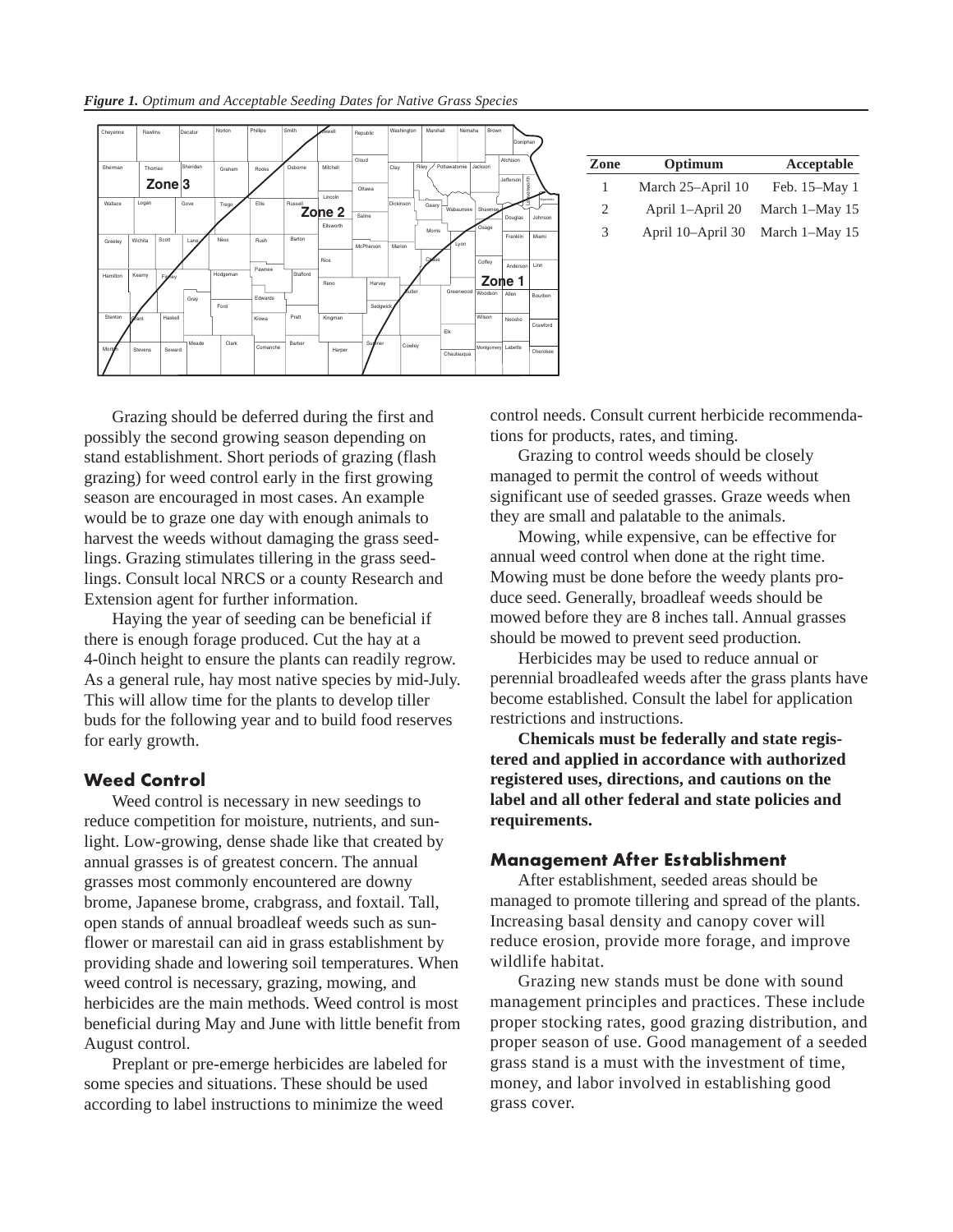

control needs. Consult current herbicide recommendations for products, rates, and timing.

Grazing should be deferred during the first and possibly the second growing season depending on stand establishment. Short periods of grazing (flash grazing) for weed control early in the first growing season are encouraged in most cases. An example would be to graze one day with enough animals to harvest the weeds without damaging the grass seedlings. Grazing stimulates tillering in the grass seedlings. Consult local NRCS or a county Research and Extension agent for further information.

Haying the year of seeding can be beneficial if there is enough forage produced. Cut the hay at a 4-0inch height to ensure the plants can readily regrow. As a general rule, hay most native species by mid-July. This will allow time for the plants to develop tiller buds for the following year and to build food reserves for early growth.

# **Weed Control**

Weed control is necessary in new seedings to reduce competition for moisture, nutrients, and sunlight. Low-growing, dense shade like that created by annual grasses is of greatest concern. The annual grasses most commonly encountered are downy brome, Japanese brome, crabgrass, and foxtail. Tall, open stands of annual broadleaf weeds such as sunflower or marestail can aid in grass establishment by providing shade and lowering soil temperatures. When weed control is necessary, grazing, mowing, and herbicides are the main methods. Weed control is most beneficial during May and June with little benefit from August control.

Preplant or pre-emerge herbicides are labeled for some species and situations. These should be used according to label instructions to minimize the weed

Grazing to control weeds should be closely managed to permit the control of weeds without significant use of seeded grasses. Graze weeds when they are small and palatable to the animals.

Mowing, while expensive, can be effective for annual weed control when done at the right time. Mowing must be done before the weedy plants produce seed. Generally, broadleaf weeds should be mowed before they are 8 inches tall. Annual grasses should be mowed to prevent seed production.

Herbicides may be used to reduce annual or perennial broadleafed weeds after the grass plants have become established. Consult the label for application restrictions and instructions.

**Chemicals must be federally and state registered and applied in accordance with authorized registered uses, directions, and cautions on the label and all other federal and state policies and requirements.**

# **Management After Establishment**

After establishment, seeded areas should be managed to promote tillering and spread of the plants. Increasing basal density and canopy cover will reduce erosion, provide more forage, and improve wildlife habitat.

Grazing new stands must be done with sound management principles and practices. These include proper stocking rates, good grazing distribution, and proper season of use. Good management of a seeded grass stand is a must with the investment of time, money, and labor involved in establishing good grass cover.